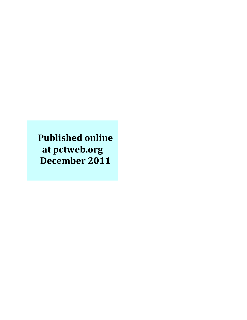# **Published online** at pctweb.org **December 2011**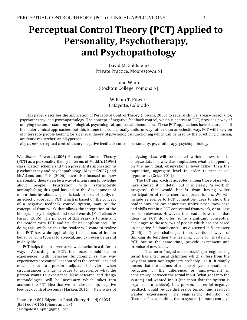# **Perceptual Control Theory (PCT) Applied to Personality, Psychotherapy, and Psychopathology**

David M. Goldstein<sup>1</sup> Private Practice, Moorestown NJ

**John White** Stockton College, Pomona NJ

# William T. Powers Lafayette, Colorado

This paper describes the application of Perceptual Control Theory (Powers, 2005) to several clinical areas--personality, psychotherapy, and psychopathology. The concept of negative feedback control, which is central to PCT, provides a way of unifying the understanding of biological, psychological, and social phenomena. These PCT applications have features of all the major clinical approaches, but this is done in a conceptually uniform way rather than an eclectic way. PCT will likely be of interest to people looking for a general theory of psychological functioning which can be used by the practicing clinician, academic researcher, and layperson.

*Key terms:* perceptual control theory, negative feedback control, personality, psychotherapy, psychopathology.

We discuss Powers (2005) Perceptual Control Theory (PCT) as a personality theory in terms of Maddi's (1996) classification scheme and then presents its application to psychotherapy and psychopathology. Mayer (2007) and McAdams and Pals (2006) have also focused on how personality theory can be a way of integrating knowledge about people. Frustration with satisfactorily accomplishing this goal has led to the development of micro-theories about a specific task or area of study, or an eclectic approach. PCT, which is based on the concept of a negative feedback control system, may be the conceptual framework that allows the integration of the biological, psychological, and social worlds (McClelland & Fararo,  $2006$ ). The purpose of this essay is to acquaint the reader with PCT and its clinical applications. By doing this, we hope that the reader will come to realize that PCT has wide applicability to all areas of human behavior from typical to atypical, and can even be useful in daily life.

PCT helps the observer to view behavior in a different way. According to PCT, the focus should be on experiences, with behavior functioning as the way experiences are controlled; control is the central idea and means that a person adjusts behavior when circumstances change in order to experience what the person wants to experience. New research and design methodologies will be necessary which takes into account the PCT idea that we are closed loop, negative feedback control systems (Marken, 2011). New ways of

Footnote 1: 801 Edgemoor Road, Cherry Hill, NJ 08034  $(856) 667 - 0166$  (phone and fax) davidgoldsteinphd@gmail.com

analyzing data will be needed which allows one to analyze data in a way that emphasizes what is happening on the individual, observational level rather than the population, aggregate level in order to test causal hypotheses (Grice, 2011),

The PCT approach is accepted among those of us who have studied it in detail, but it is clearly "a work in progress" that would benefit from having wider participation of researchers and practitioners. We will include reference to PCT compatible ideas to show the reader how one can sometimes utilize prior knowledge and skills within a PCT conceptual framework, or at least see its relevance. However, the reader is warned that ideas in PCT do offer some significant conceptual challenges to those views of people which are not based on negative feedback control as discussed in Vancouver (2005). These challenges to conventional ways of thinking do lengthen the learning curve for mastering PCT, but at the same time, provide excitement and promise of new ideas.

The term "negative feedback" (an engineering term) has a technical definition which differs from the way that most non-engineers probably use it. It simply means that the actions of a control system result in a reduction of the difference, or improvement in consistency, between the actual input (what goes into the system) and wanted input (the input that the system is organized to achieve). In a person, successful negative feedback would reduce distress or tension and result in wanted experiences. The engineering definition of "feedback" is something that a system (person) can give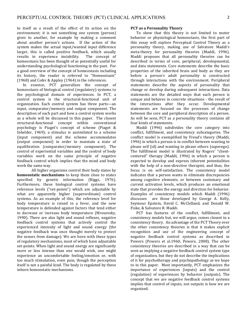to itself as a result of the effect of its action on the environment; it is not something one system (person) gives to another, for example by making a comment about another person's actions. If the action of the system makes the actual input/wanted input difference larger, this is called positive feedback, which usually results in experience instability. The concept of homeostasis has been thought of as potentially useful for understanding psychological functioning in the past. For a good overview of the concept of homeostasis including its history, the reader is referred to "Homeostasis" (1968) and Cofer & Appley (1964) in the references.

In essence, PCT generalizes the concept of homeostasis of biological control (regulatory) systems to the psychological domain of experiences. In PCT, a control system is the structural-functional unit of organization. Each control system has three parts—an input, comparator/memory and output component. The description of each part and how a control system works as a whole will be discussed in this paper. The closest structural-functional concept within conventional psychology is Piaget's concept of scheme (Piaget & Inhelder, 1969); a stimulus is assimilated to a scheme (input component) and the scheme accommodates (output component) in order to maintain a state of equilibration (comparator/memory component). The control of experiential variables and the control of body variables work on the same principle of negative feedback control which implies that the mind and body work the same way.

All higher organisms control their body states by **homeostatic mechanisms** to keep them close to states specified by genetic information (Riggs, 1976). Furthermore, these biological control systems have reference levels ("set-points") which are adjustable by what are apparently higher (superordinate) control systems. As an example of this, the reference level for body temperature is raised in a fever, and the new temperature is defended against factors that tend either to decrease or increase body temperature (Mrosovsky, 1990). There are also light and sound reflexes, negative feedback control systems that actively control the experienced intensity of light and sound energy (the negative feedback was once thought merely to protect the senses from damage). We are born with these types of regulatory mechanisms, most of which have adjustable set-points. When light and sound energy are significantly more or less intense than one would wish, one might experience an uncomfortable feeling/emotion or, with too much stimulation, even pain, though the perception itself is not a painful kind. The body is regulated by these inborn homeostatic mechanisms.

#### **PCT** as a Personality Theory

To show that this theory is not limited to motor behavior or physiological homeostasis, the first part of this essay will explore Perceptual Control Theory as a personality theory, making use of Salvatore Maddi's meta-theory for personality theories (Maddi, 1996). Maddi proposes that all personality theories can be described in terms of core, peripheral, developmental, and data statements. Core statements describe the basic properties of the inherited brain and body as they are before a person's adult personality is constructed through interactions with the environment. Peripheral statements describe the aspects of personality that change or develop during subsequent interactions. Data statements are the detailed ways that each person is unique and behaves in concrete situations - the result of the interactions after they occur. Developmental statements are focused on the processes of change between the core and peripheral description of a person. As will be seen, PCT as a personality theory contains all four kinds of statements.

Maddi (1996) subdivides the core category into conflict, fulfillment, and consistency subcategories. The conflict model is exemplified by Freud's theory (Maddi, 1996) in which a person is in conflict between wanting to please self (id) and wanting to please others (superego). The fulfillment model is illustrated by Rogers' "clientcentered" therapy (Maddi, 1996) in which a person is expected to develop and express inherent potentialities with the help of a non-directive therapist, and thus, the focus is on self-satisfaction. The consistency model indicates that a person wants to eliminate discrepancies among cognitive elements, or between customary and current activation levels, which produces an emotional state that provides the energy and direction for behavior. Examples of consistency models which Maddi (1996) discusses are those developed by George A. Kelly, Seymour Epstein, David C. McClelland, and Donald W. Fiske, & Salvatore R. Maddi.

PCT has features of the conflict, fulfillment, and consistency models but, we will argue, comes closest to a consistency theory. An advantage of the PCT Theory over the other consistency theories is that it makes explicit recognition and use of the engineering concept of negative feedback control systems as described in Powers (Powers et al.1960; Powers, 2008). The other consistency theories are described in a way that can be seen as implying a negative feedback control system type of organization, but they do not describe the implications of it for psychotherapy and psychopathology as we hope to in this paper. Most importantly, PCT emphasizes the importance of experiences (inputs) and the control (regulation) of experiences by behavior (outputs). The concept that we are negative feedback control systems implies that control of inputs, not outputs is how we are organized.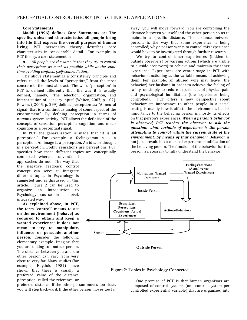#### **Core Statements**

Maddi (1996) defines Core Statements as: The specific, unlearned characteristics all people bring into life that express the overall purpose of human **living.** PCT personality theory describes core characteristics in considerable detail. For example, in PCT theory, a core statement is:

All people are the same in that they try to control their perceptions as much as possible while at the same *time avoiding conflicts (self-contradiction)*. 

The above statement is a consistency principle and refers to all the levels of "perception," from the most concrete to the most abstract. The word "perception" in PCT is defined differently than the way it is usually defined, namely, "The selection, organization, and interpretation of sensory input" (Weiten, 2007, p. 107). Powers (2005, p. 299) defines perception as: "A neural signal that is a continuous analog of some aspect of the environment". By defining perception in terms of nervous system activity, PCT allows the definition of the concepts of sensation, perception, cognition, and metacognition as a perceptual signal.

In PCT, the generalization is made that "It is all perception." For example, a feeling/emotion is a perception. An image is a perception. An idea or thought is a perception. Bodily sensations are perceptions. PCT specifies how these different topics are conceptually

connected, whereas conventional approaches do not. The way that the negative feedback control concept can serve to integrate different topics in Psychology is suggested and is discussed in this article. Figure 2 can be used to organize an Introduction to Psychology course in a novel, integrated way.

As explained above, in PCT, the term "control" means to act on the environment (behave) as required to obtain and keep a wanted experience; it does not mean to try to manipulate, **influence or persuade another person.** Consider the following elementary example. Imagine that you are talking to another person. The distance between you and the other person can vary from very close to very far. Many studies (for example, Hayduk, 1981) have shown that there is usually a preferred value of the distance perception, called the reference, or

preferred distance. If the other person moves too close, you will step backward. If the other person moves too far

away, you will move forward. You are controlling the distance between yourself and the other person so as to maintain a specific distance. The distance between persons is the way that some experience is being controlled; why a person wants to control this experience would have to be investigated through further research.

We try to control inner experiences (hidden to outside observers) by varying actions (which are visible to outside observers) to achieve and maintain the inner experience. Experiences are center stage in PCT with behavior functioning as the variable means of achieving them. For example, an abused wife may leave (the behavior) her husband in order to achieve the feeling of safety, or simply to reduce experiences of physical pain and psychological humiliation (the experience being controlled). PCT offers a new perspective about behavior: its importance to other people in a social setting is mainly how it affects the environment, but its importance to the behaving person is mostly its effects on that person's experiences. When a person's behavior *is* observed, PCT teaches the observer to ask the *question: what variable of experience is the person*  attempting to control within the current state of the *environment, by means of that behavior?* Behavior is not just a result, but a cause of experience modification of the behaving person. The function of the behavior for the person is necessary to fully understand the behavior.



Figure 2: Topics in Psychology Connected

One premise of PCT is that human organisms are composed of control systems (one control system per controlled experiential variable) that are organized into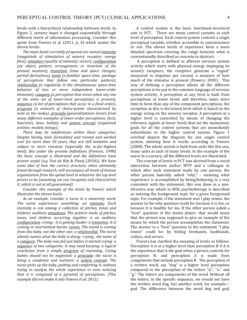levels with a hierarchical relationship between levels. In Figure 2, sensory input is changed sequentially through different levels of information processing. Consider this quote from Powers et al.  $(2011, p. 6)$  which names the eleven levels:

The main levels currently proposed are named *intensity (magnitude of stimulation of sensory receptor; energy flow)*, *sensation* (quality of intensity; vector), *configuration (an object, pattern, arrangement, or invariant of the present moment), transition (time and space changes; partial derivatives), event (a familiar space-time package of perceptions that follow one particular pattern)*, *relationship* (*a regularity in the simultaneous space-time* behavior of two or more independent lower-order *elements)*, *category* (a perception that arises when any one *of the some set of lower-level perceptions is present)*, *sequence* (a list of perceptions that occur in a fixed order), program (a network of choice-points characterized by tests at the nodes), principle (generalizations drawn from *many different examples of lower-order perceptions; facts*, *heuristics, laws, beliefs)* and *system concept* (organized *entities; models; beings)*. 

There may be subdivisions within these categories. *Despite having been formulated and revised and worked over for more than 50 years, they are still tentative and* subject to more revisions (especially the so-far-highest *level).* But under the present definitions (Powers, 1998) *the basic concept is illustrated and the definitions have proven useful (e.g.* Van de Rijt & Plooij (2010)). We have some *idea of how the correct structure, when ultimately found through research, will encompass all levels of human organization from the spinal level to whatever the top level proves to be (assuming we can recognize and characterize it, which is not at all guaranteed*)

*Consider this example of the levels by Powers which illustrates the eleven levels:* 

As an example, consider a nurse in a maternity ward. *The nurse experiences something: an intensity. Each intensity* is one among a collection of pitches, tones and timbres: auditory **sensations**. The pattern made of pitches, tones, and timbres occurring together is an auditory *configuration: crying: It is getting louder: a transition. It is coming in intermittent bursts: events. The sound is coming from this baby, not the other one: a relationship. The nurse* silently names what the baby is doing: 'crying', the name of *a* category. The baby was fed just before it started crying: a *sequence of two categories. It may need burping: a logical conclusion from a simple program of reasoning. Crying babies* should not be neglected: a principle; the nurse is *being* a comforter and nurturer: a system concept. The *nurse picks up the baby, patting and comforting it, without trying to analyse the whole experience or even noticing that it is composed of a pyramid of perceptions. (This example did not make it into Powers et al, 2011).* 

A control system is the basic functional-structural unit in PCT. There are many control systems at each level of perception. Each control system controls a single perceptual variable, whether accessible to consciousness or not. The eleven levels of experience form a more detailed spectrum covering the range between what is conventionally described as concrete to abstract.

A perception is defined as afferent nervous system activity which starts with physical energy impinging on sensory receptors; the receptors generate a "signal" measured in impulses per second, a measure of how much of the stimulus is present (Powers, 2005). This way of defining a perception allows all the different perceptions to be put in the common language of nervous system activity. A perception at any level is built from perceptions at lower levels and therefore, takes more time to form than any of the component perceptions; the exception to this is the lowest level which is based on the energy acting on the sensory receptor. A perception at a higher level is controlled by means of changing the reference signals at lower levels that set the momentary goals for all the control systems that are immediately subordinate to the higher control system. Figure 1 overleaf depicts the diagram for one single control system, showing how it works according to Powers (2008). The whole system is built from units like this one, many units at each of many levels. In the example of the nurse in a nursery, all the different levels are illustrated.

The concept of levels in PCT was derived from a social interaction between author WTP and a colleague in which after each statement made by one person, the other person basically asked "why," - meaning what experience is accomplished by being/behaving in a way consistent with the statement; this was done in a nondirective way which in MOL psychotherapy is described as noticing the background topic for a given foreground topic. For example, if the statement was I play tennis, the answer to the why question could be: because it is fun, or because it is healthy for me. If the other person asked a "how" question of the tennis player, that would mean that the person was supposed to give an example of the means by which the person accomplishes the statement. The answer to a "how" question to the statement "I play tennis" could be: by hitting forehands, backhands, volleys, and serves.

Powers has clarified the meaning of levels as follows. Perception  $A$  is at a higher level than perception  $B$  if  $A$  is the experience that is the goal when a person controls for perception B; and perception A is made from components that include perception B. The perception of a written word, say "dog" is a higher level perception compared to the perception of the letters "d,", "o," and "g." The letters are components of the word. Without all the letters, in the specific sequence, we would not have the written word dog, but another word, for example god. The difference between the word dog and god,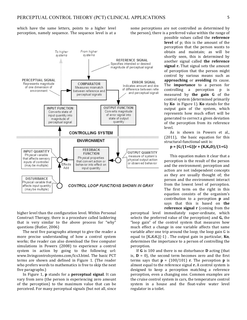which have the same letters, points to a higher level perception, namely sequence. The sequence level is at a



higher level than the configuration level. Within Personal Construct Therapy, there is a procedure called laddering that is very similar to the above process for "why" questions (Butler, 2006)

The next five paragraphs attempt to give the reader a more precise understanding of how a control system works; the reader can also download the free computer simulations in Powers (2008) to experience a control system in action by going to the following url: www.livingcontrolsystems.com/lcs3.html. The basic PCT terms are shown and defined in Figure 1. (The reader who prefers words to mathematics is free to skip the next five paragraphs.)

In Figure 1, **p** stands for a **perceptual signal**. It can vary from zero (the person is experiencing zero amount of the perception) to the maximum value that can be perceived. For many perceptual signals (but not all, since some perceptions are not controlled as determined by the person), there is a preferred value within the range of

> possible values called the **reference level** of p; this is the amount of the perception that the person wants to obtain and maintain; as will be shortly seen, this is determined by another signal called **the reference signal r.** That signal sets the amount of perception that the person might control by various means such as **approaching** or **avoiding** its cause. The **importance** to a person for controlling a perception p is measured by **the gain G** of the control system (determined primarily by **Ko** in Figure 1). **Ko** stands for the output gain of the system, which represents how much effort will be generated to correct a given deviation of the perception from its reference level.

> As is shown in Powers et al.,  $(2011)$ , the basic equation for this structural-functional unit is:

## $p = [G/(1+G)]r + (K_iK_dD)/(1+G)$

This equation makes it clear that a perception is the result of the person and the environment; perception and action are not independent concepts as they are usually thought of: the person and the environment interact from the lowest level of perception. The first term on the right in this equation consists of the organism's contribution to a perception **p** and says that this is based on **the reference signal r** (coming from the

perceptual level immediately super-ordinate, which selects the preferred value of the perception) and **G**, the "loop gain" of the control system that measures how much effect a change in one variable affects that same variable after one trip around the loop; the loop gain G is equal to  $[K_0K_fK_i]$ (-1). The output gain in particular, **Ko**, determines the importance to a person of controlling the perception. 

If **G** is 100 and there is no disturbance **D** acting (that is,  $D = 0$ , the second term becomes zero and the first terms says that  $p = (100/101)$  **r**. The perception **p** is almost equal to the reference signal **r**. A control system is designed to keep a perception matching a reference perception, even a changing one. Common examples are the cruise control system in cars, the temperature control system in a house and the float-valve water level regulator in a toilet.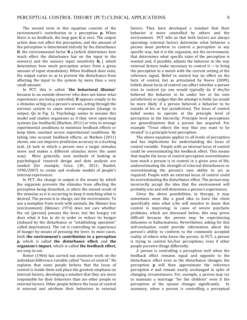The second term in this equation consists of the environment's contribution to a perception **p.** When there is no feedback, the loop gain **G** is zero. The output action does not affect the perception, and the amount of the perception is determined entirely by the disturbance **D**, the environmental factor  $K_d$  (which determines how much effect the disturbance has on the input to the sensors) and the sensory input sensitivity  $K_i$  (*which* determines how much perception arises from a given amount of input stimulation). When feedback does exist, the output varies so as to prevent the disturbance from affecting the input to the system by more than a very small amount.

In PCT, this is called "the behavioral illusion" because to an outside observer who does not know what experiences are being controlled, **D** appears simply to be a stimulus acting on a person's senses, acting through the nervous system to cause motor responses (change in output, Qo in Fig. 1). Psychology seems to assume this model and studies organisms as if they were open-loop systems (no feedback) (Marken, 2011) or tries to arrange experimental conditions to minimize feedback effects or keep them constant across experimental conditions. By taking into account feedback effects, as Marken (2011) shows, one can improve prediction accuracy in a tracking task. (A task in which a person sees a target stimulus move and makes a different stimulus move the same way). More generally, new methods of looking at psychological research design and data analysis are needed (for example, Grice, J.W., 2011; Runkel,  $1990/2007$ ) to create and evaluate models of people's internal experiences.

In PCT, the change in output is the means by which the organism prevents the stimulus from affecting the perception being disturbed, or alters the sensed result of the stimulus as it is occurring to keep it matching what is desired. The person is in charge, not the environment. To use a metaphor from work with animals, the Skinner box (environment) (Skinner, 1974) does not care whether the rat (person) presses the lever, but the hungry rat does what it has to do in order to reduce its hunger (induced by the disturbance or "establishing operation" called deprivation). The rat is controlling its experience of hunger by means of pressing the lever. In most cases, both the environment's contribution to a perception **p**, which is called the disturbance effect, and the **organism's impact**, which is called the feedback effect, are easy to see.

Rotter (1966) has carried out extensive work on the individual difference variable called "locus of control." He explains that some people believe that the locus of control is inside them and place the greatest emphasis on internal factors, developing a mindset that they are more responsible for their behaviors than are other people or external factors. Other people believe the locus of control is external and attribute their behaviors to external factors. They have developed a mindset that their behavior is more controlled by others and the environment. PCT tells us that both factors are always operating: external factors determine what behavior a person must perform to control a perception in any specific way, but it is the organism, not the environment, that determines what specific state of the perception is wanted and, if possible, adjusts the behavior in the way external factors make necessary to control it -- to bring the perception to a match with the current setting of the reference signal. Belief in control has no effect on the facts of control, but as articulated by Reeve (2009), beliefs about locus of control can affect whether a person tries to control (as one would typically do if she/he believed the behavior to be under her or his own jurisdiction) or judges that the attempt is futile (as would be more likely if a person believed a behavior to be outside of his or her jurisdiction). The locus of control belief seems to operate at the principle level of perception in the hierarchy. Principle level perceptions are generalizations that a person has acquired. For example "Treat others the way that you want to be treated" is a principle level perception.

The above equation applies to all levels of perception and has implications for understanding the locus of control variable. People with an internal locus of control could be overestimating the feedback effect. This means that maybe the locus of control perception overestimates how much a person is in control in a given area of life, underestimating the strength of external disturbances or overestimating the person's own ability to act as required. People with an external locus of control could be overestimating the disturbance effect. The person may incorrectly accept the idea that the environment will probably win and will determine a person's experiences.

Given the above possibilities, in therapy, it may sometimes seem like a good idea to have the client specifically state what s/he will monitor to know that control is improving; in cases of severe psychotic problems, which are discussed below, this may prove difficult because the person may be experiencing delusions or hallucinations. Nevertheless, asking for this self-evaluation could provide information about the person's ability to conform to the commonly accepted reality of others who know the person. In PCT, a person is trying to control his/her perceptions, even if other people perceive things differently.

A person is controlling a perception well when the feedback effect remains equal and opposite to the disturbance effect even as the disturbance changes; the perception **p** will then approximate the reference perception **r** and remain nearly unchanged in spite of changing circumstances. For, example, a person may try to maintain a marriage "for the children" even if the perception of the spouse changes significantly. In summary, when a person is controlling a perceptual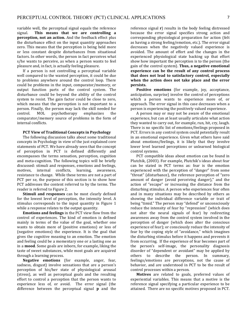variable well, the perceptual signal equals the reference signal. This means that we are controlling a **perception, not an action.** And the feedback effect plus the disturbance effect on the input quantity approaches zero. This means that the perception is being held more or less constant despite disturbances from situational factors. In other words, the person in fact perceives what s/he wants to perceive, as when a person wants to feel pleasure and, in fact, is actually feeling pleasure.

If a person is not controlling a perceptual variable well compared to the wanted perception, it could be due to problems anywhere around the control loop. There could be problems in the input, comparator/memory, or output function parts of the control system. The disturbance could be beyond the ability of the control system to resist. The gain factor could be close to zero, which means that the perception is not important to a person. Finally, the person may lack the skill needed for control. MOL psychotherapy emphasizes the comparator/memory source of problems in the form of internal conflicts.

#### **PCT View of Traditional Concepts in Psychology**

The following discussion talks about some traditional concepts in Psychology in view of the just explained core statements of PCT. We have already seen that the concept of perception in PCT is defined differently and encompasses the terms sensation, perception, cognition and meta-cognition. The following topics will be briefly discussed: stimuli and responses, emotions and feelings, motives, internal conflicts, learning, awareness, resistance to change. While these terms are not a part of PCT per se, the purpose of this section is to show how PCT addresses the content referred to by the terms. The reader is referred to Figure 2.

**Stimuli and responses** can be most clearly defined for the lowest level of perception, the intensity level. A stimulus corresponds to the input quantity in Figure 1 while a response relates to the output quantity.

**Emotions and feelings** in the PCT view flow from the control of experiences. The kind of emotion is defined mainly in terms of the value of the goal, whether one wants to obtain more of (positive emotions) or less of (negative emotions) the experience. It is the goal that gives the cognitive meaning to an emotion. The emotion and feeling could be a momentary one or a lasting one as in a **mood**. Some goals are inborn, for example, liking the taste of sweet substances, while most goals are acquired through a learning process.

**Negative emotions** (for example, anger, fear, sadness, disgust) involve sensations that are a person's perception of his/her state of physiological arousal (stress), as well as perceptual goals and the resulting effort to control a perception that the person wants to experience less of, or avoid. The error signal (the difference between the perceptual signal **p** and the

reference signal  $\bf{r}$ ) results in the body feeling distressed because the error signal specifies strong action and corresponding physiological preparation for action (felt as having a strong feeling/emotion, etc.). The error signal decreases when the negatively valued experience is avoided. The amount of effort and the changes in the experienced physiological state backing up that effort show how important the perception is to the person (the gain of the control system). Thus, a negative emotional experience can be the result of any control process that does not lead to satisfactory control, especially when the action does not take place and the error **persists.** 

**Positive emotions** (for example, joy, acceptance, anticipation, surprise) involve the control of perceptions which a person wants to experience more of, or approach. The error signal in this case decreases when a person is experiencing the positively valued experience.

A person may or may not be aware of the emotional experience, but can at least usually articulate what action they wanted to carry out, for example, run, hit, cry, laugh. There is no specific list of emotions/feelings proposed in PCT. Errors in any control system could potentially result in an emotional experience. Given what others have said about emotions/feelings, it is likely that they involve lower level learned perceptions or unlearned biological control systems.

PCT compatible ideas about emotion can be found in Plutchik, (2003). For example, Plutchik's ideas about fear can be stated in PCT terms as: fear is the emotion experienced with the perception of "danger" from some "threat" (disturbance), the reference perception of "zero amount of danger (avoid perceiving danger)," and the action of "escape" or increasing the distance from the disturbing stimulus. A person who experiences fear often and in many situations may be described by others as showing the individual difference variable or trait of being "timid." The person may "defend" or unconsciously reduce the intensity of fear by "repression" (which does not alter the neural signals of fear) by redirecting awareness away from the control system involved in the perception of danger (which does alter the conscious experience of fear); or consciously reduce the intensity of fear by the coping style of "avoidance," which imagines the disturbing stimulus before it happens and prevents it from occurring. If the experience of fear becomes part of the person's self-image, the personality diagnosis disorder of "dependent or avoidant" may be applied by others to describe the person. In summary, feelings/emotions are perceptions, not the cause of behavior, and are understood in PCT to be the result of control processes within a person.

**Motives** are related to goals, preferred values of experiential variables. This means that a motive is the reference signal specifying a particular experience to be attained. There are no specific motives proposed in PCT.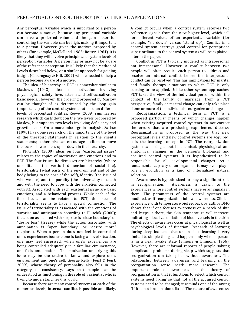Any perceptual variable which is important to a person can become a motive, because any perceptual variable can have a preferred value and the gain factor for controlling the variable can be high, making it important to a person. However, given the motives proposed by others (for example, McClelland, 1985; Rotter, 1964), it is likely that they will involve principle and system levels of perception variables. A person may or may not be aware of the reference perception. It is likely that the Method of Levels described below, or a similar approach for gaining insight (Castonguay & Hill, 2007) will be needed to help a person become aware of a motive.

The idea of hierarchy in PCT is somewhat similar to Maslow's (1943) ideas of motivation involving physiological, safety, love, esteem and self-actualization basic needs. However, the ordering proposed by Maslow can be thought of as determined by the loop gain (importance) of the control systems rather than different levels of perceptual abilities. Reeve (2009) summarizes research which casts doubt on the five levels proposed by Maslow, but supports two levels involving deficiency and growth needs. On a more micro-grain analysis, Sachse (1990) has done research on the importance of the level of the therapist statements in relation to the client's statements; a therapist can encourage a client to move the focus of awareness up or down in the hierarchy.

Plutchik's (2000) ideas on four "existential issues" relates to the topics of motivation and emotions and to PCT. The four issues he discusses are hierarchy (where one fits in the vertical dimension of social life), territoriality (what parts of the environment and of the body belong to the core of the self), identity (the issue of who we are) and temporality (the universality of death and with the need to cope with the anxieties connected with it). Associated with each existential issue are basic emotions, and a behavioral process. While each of the four issues can be related to PCT, the issue of territoriality seems to have a special connection. The issue of territoriality is associated with the emotions of surprise and anticipation according to Plutchik (2000); the action associated with surprise is "close boundary" or "desire less" (freeze) while the action associated with anticipation is "open boundary" or "desire more" (explore.). When a person does not feel in control of one's experiences because one is facing a novel situation, one may feel surprised; when one's experiences are being controlled adequately in a familiar circumstance, one feels anticipation. The motivation underlying this issue may be the desire to know and explore one's environment and one's self. George Kelly (Feist & Feist, 2009), whose theory of personality also falls in the category of consistency, says that people can be understood as functioning in the role of a scientist who is trying to understand her/his world.

Because there are many control systems at each of the numerous levels, **internal conflict** is possible and likely. A conflict occurs when a control system receives two reference signals from the next higher level, which call for different values of an experiential variable (for example, "sit down" versus "stand up"). Conflict in a control system destroys good control for perceptions super-ordinate to the control system as will be explained later in the paper.

Conflict in PCT is typically modeled as intrapersonal, not interpersonal. However, a conflict between two people will often require each person to address and resolve an internal conflict before the interpersonal conflict can be resolved. This has implications for marital and family therapy situations to which PCT is only starting to be applied. Unlike other system approaches, PCT takes the view of the individual person within the context of the family or marriage; from a PCT perspective, family or marital change can only take place if one or more of the individuals reorganize or change.

**Reorganization,** a technical term in PCT, is a proposed particular means by which changes happen when existing acquired control systems do not correct the errors that are producing experienced distress. Reorganization is proposed as the way that new perceptual levels and new control systems are acquired; it is the learning concept in PCT. The reorganization system can bring about biochemical, physiological and anatomical changes in the person's biological and acquired control systems. It is hypothesized to be responsible for all developmental changes. As a fundamental capacity of an organism it may even play a role in evolution as a kind of internalized natural selection.

Awareness is hypothesized to play a significant role in reorganization. Awareness is drawn to the experiences whose control systems have error signals in them. The parameters of the control systems are modified, as if reorganization follows awareness. Clinical experience with temperature biofeedback by author DMG shows that if one focuses awareness on a patch of skin and keeps it there, the skin temperature will increase, indicating a local vasodilation of blood vessels in the skin. The effects of awareness occur at physiological as well as psychological levels of function. Research of learning during sleep indicates that unconscious learning is very limited to simple things and happens only when a person is in a near awake state (Simons  $&$  Emmons, 1956). However, there are informal reports of people solving complicated problems during sleep which suggests that reorganization can take place without awareness. The relationship between awareness and learning in the reorganization sense needs more research. The important role of awareness in the theory of reorganization is that it functions to select which control systems need 'fixing' so that not all the acquired control systems need to be changed; it reminds one of the saying "If it is not broken, don't fix it" The nature of awareness,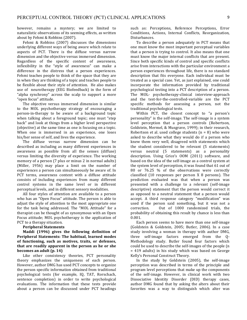however, remains a mystery; we are limited to naturalistic observations of its seeming effects, as written about by Fehmi & Robbins (2007).

Fehmi & Robbins (2007) discusses the dimensions underlying different ways of being aware which relate to aspects of PCT. There is the diffuse versus narrow dimension and the objective versus immersed dimension. Regardless of the specific content of awareness, inflexibility in the "style of awareness" can make a difference in the distress that a person experiences. Fehmi teaches people to think of the space that they are in when they are thinking of a topic and teaches people to be flexible about their style of attention. He also makes use of neurotherapy (EEG Biofeedback) in the form of "alpha synchrony" across the scalp to support a more "open focus" attitude.

The objective versus immersed dimension is similar to the MOL psychotherapy strategy of encouraging a person-in-therapy to be aware of a background topic when talking about a foreground topic; one must "step back" and look at things from a higher level perspective (objective) at the same time as one is focusing on a topic. When one is immersed in an experience, one loses his/her sense of self, and lives the experience.

The diffuse versus narrow dimension can be described as including as many different experiences in awareness as possible from all the senses (diffuse) versus limiting the diversity of experience. The working memory of a person  $(7$  plus or minus  $2$  in normal adults) (Miller, 1956) may place a limit on the number of experiences a person can simultaneously be aware of. In PCT terms, awareness content with a diffuse attitude consists of including experiences from many different control systems in the same level or in different perceptual levels, and in different sensory modalities.

All four styles of attention are available to a person who has an "Open Focus" attitude. The person is able to adjust the style of attention to the most appropriate one for the task being addressed. The "MOL Attitude" for a therapist can be thought of as synonymous with an Open Focus attitude; MOL psychotherapy is the application of PCT to a therapy situation.

#### **Peripheral Statements**

Maddi (1996) gives the following definition of Peripheral Statements: The habitual, learned modes of functioning, such as motives, traits, or defenses, that are readily apparent in the person as he or she **becomes an adult (p. 14)** 

Like other consistency theories, PCT personality theory emphasizes the uniqueness of each person. However, author DMG has used PCT concepts to organize the person specific information obtained from traditional psychological tests (for example, IQ, TAT, Rorschach, sentence completion) in order to write psychological evaluations. The information that these tests provide about a person can be discussed under PCT headings

such as: Perceptions, Reference Perceptions, Error Conditions, Actions, Internal Conflicts, Reorganization, Disturbances. 

To describe a person adequately in PCT means that one must know the most important perceptual variables that a person is trying to control. It also means that one must know the major internal conflicts that are present. Since both specific kinds of control and specific conflicts arise from interactions with the particular environment a person experiences throughout life, there is no standard description that fits everyone. Each individual must be treated as a special case. Yet, as just explained, one could incorporate the information provided by traditional psychological testing into a PCT description of a person. The MOL- psychotherapy-clinical interview-approach and the test-for-the-controlled-variable are the PCT specific methods for assessing a person, not the traditional psychological tests.

Within PCT, the closest concept to "a person's personality" is the self-image. The self-image is a system level perception that a person controls (Robertson, Goldstein, Mermel, & Musgrave, 1999); in their research, Robertson et al. used college students  $(n = 8)$  who were asked to describe what they would do if a person who knew them very well, disagreed with statements which the student considered to be relevant (5 statements) versus neutral (5 statements) as a personality description. Using Grice's OOM (2011) software, and based on the idea of the self-image as a control system at the system level of perception, it was found that 61 out of 80 or 76.25 % of the observations were correctly classified  $(10$  responses per person X 8 persons). The prediction evaluated was that when a person was presented with a challenge to a relevant (self-image descriptive) statement that the person would correct it as opposed to a neutral statement that a person would accept. A third response category "modification" was used if the person said something, but it was not a correction. Out of 1000 randomized trials, the probability of obtaining this result by chance is less than 0.001. 

Each person seems to have more than one self-image (Goldstein & Goldstein, 2005; Butler, 2006). In a case study involving a woman in therapy with author  $DMG$ , three self-image factors emerged from the Q-Methodology study. Butler found four factors which could be used to describe the self-images of the people (n  $= 419$  adults) in his study which was based on George Kelly's Personal Construct Theory.

In the study by Goldstein (2005), the self-image perception was described in terms of the principle and program level perceptions that make up the components of the self-image. However, in clinical work with two Dissociative Identity Disorder (DID) therapy cases, author DMG found that by asking the alters about their favorites was a way to distinguish which alter was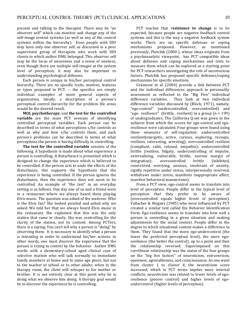present and talking to the therapist. There may be "an observer self" which can monitor and change any of the self-image control systems (as well as any of the control systems within the hierarchy). Even people with DID may have only one observer self, as discussed in a peer supervision group of therapists who work with DID clients to which author DMG belonged. This observer self may be the locus of awareness and a sense of oneness, even though there are multiple self-images at the system level of perception; it may also be important to understanding psychological defenses.

Each person is unique in his/her perceptual control hierarchy. There are no specific traits, motives, features or types proposed in PCT. -- the specifics are simply individual examples of more general aspects of organization. Ideally, a description of a person's perceptual control hierarchy for the problem life areas would be the desired result.

**MOL** psychotherapy, and the test for the controlled **variable** are the main PCT avenues of identifying controlled perceptual variables. Each person can be described in terms of what perceptions s/he controls as well as why and how s/he controls them; and each person's problems can be described in terms of what perceptions the person is having difficulty in controlling.

The test for the controlled variable consists of the following. A hypothesis is made about what experience a person is controlling. A disturbance is presented which is designed to change the experience which is believed to be controlled. If the person acts to undo the effects of the disturbance, this supports the hypothesis that the experience is being controlled. If the person ignores the disturbance, then the experience does not seem to be controlled. An example of "the test" in an everyday setting is as follows. One day one of us and a friend were in a restaurant where we always heard them playing Elvis music. The question was asked of the waitress: Who is the Elvis fan? She looked puzzled and asked why we asked. We told her that we always heard Elvis music in the restaurant. She explained that this was the only station that came in clearly. She was controlling for the clarity of the station, not its content. Among PCTers, there is a saying: You can't tell why a person is "doing" by observing them. It is necessary to identify what a person is intending in order to understand his/her actions; in other words, one must discover the experience that the person is trying to control by the behavior. Author DMG works with a elementary-school aged clinical case of selective mutism who will talk normally to immediate family members at home and to same age peers, but not to the teacher at school or to other adults; when in the therapy room, the client will whisper to his mother or brother. It is not entirely clear at this point why he is doing what we observe him doing. A therapy goal would be to discover the experience he is controlling.

PCT teaches that resistance to change is to be expected, because people are negative feedback control systems and this is the way a negative feedback system works. There are no specific defenses or coping mechanisms proposed. However, as mentioned previously, Plutchik (2000), whose ideas originate from a psychoanalytic viewpoint, has PCT compatible ideas about defenses and coping mechanisms and tests to measure them which can be explored as a starting point for PCT researchers investigating the role of unconscious factors. Plutchik has proposed specific defenses/coping mechanisms for specific emotions.

Gramzow et al. (2004) provide a link between PCT and the individual differences approach to personality assessment as reflected in the "Big Five" individual difference variables. They look at two individual difference variables discussed by (Block, 1971), namely, "ego-control" (undercontrolled, overcontrolled) and "ego- resilience" (brittle, resilient) in a group  $(n = 199)$ of undergraduates. The California Q-set was given to the subjects from which the scores for ego-control and egoresilience were calculated. Four groups were found using these measures of self-regulation: undercontrolled resilient(energetic, active, curious, exploring, recoups, resilient, interesting, arresting); overcontrolled resilient (compliant, calm, relaxed, empathic); undercontrolled brittle (restless, fidgety, undercontrolling of impulse, externalizing, vulnerable, brittle, narrow margin of integration); overcontrolled brittle (inhibited, constricted, worrying, anxious, intolerant of anxiety, rigidly repetitive under stress, interpersonally reserved, withdraws under stress, manifests inappropriate affect, manifest behavioral mannerisms).

From a PCT view, ego-control seems to translate into level of perception. People differ in the typical level of perception that they prefer to be aware of (overcontrolled equals higher levels of perception). Vallacher & Wegner (1985) who were influenced by PCT created a similar test called the Behavior Identification Form. Ego-resilience seems to translate into how well a person is controlling in a given situation and making adjustments for the social context. People differ in the degree to which situational context makes a difference to them. They found that the more ego-undercontrol (the lower the preferred perceptual level), the more egoresilience (the better the control), up to a point and then the relationship reversed. Superimposed on this curvilinear relationship was the status of the four groups on the "big five factors" of neuroticism, extraversion, openness, agreeableness, and consciousness. As one went from cluster  $1$  to cluster  $4$ , the neuroticism score increased, which in PCT terms implies more internal conflicts; neuroticism was related to lower levels of egoresilience (poorer control) and higher levels of egoundercontrol (higher levels of perception).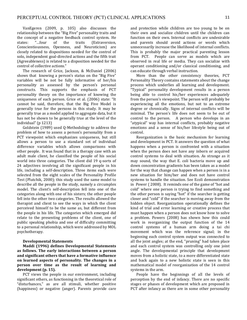VanEgeren (2009, p. 105) also discusses the relationship between the "Big Five" personality traits and the concept of a negative feedback control system. He states: "...four of the traits (Extraversion, Conscientiousness, Openness, and Neuroticism) are closely related to dispositions needed for the control of solo, independent goal-directed actions and the fifth trait (Agreeableness) is related to a disposition needed for the control of collective actions."

The research of Grice, Jackson, & McDaniel (2006) shows that knowing a person's status on the "Big Five" variables will be not be fully informative of her/his personality as assessed by the person's personal constructs. This supports the emphasis of PCT personality theory on the importance of knowing the uniqueness of each person. Grice et al. (2006) state: "It cannot be said, therefore, that the Big Five Model is generally true for the persons in this study. It may be generally true as a model applied to aggregate data, but it has not be shown to be generally true at the level of the individual" ( $p$  1213)

Goldstein (1989) used Q-Methodology to address the problem of how to assess a person's personality from a PCT viewpoint which emphasizes uniqueness, but still allows a person to use a standard set of individual difference variables which allows comparisons with other people. It was found that in a therapy case with an adult male client, he classified the people of his social world into three categories. The client did 19 q-sorts of 24 adjectives involving all the significant people in his life, including a self-description. Three items each were selected from the eight scales of the Personality Profile Test (Plutchik, 2000); this study used the same model to describe all the people in the study, namely a circumplex model. The client's self-description fell into one of the categories along with one of his sisters; the other people fell into the other two categories. The results allowed the therapist and client to see the ways in which the client perceived himself to be the same as, but different from the people in his life. The categories which emerged did relate to the presenting problems of the client, one of public speaking phobia and one of difficulty committing to a personal relationship, which were addressed by MOL psychotherapy. 

#### **Developmental Statements**

**Maddi (1996) defines Developmental Statements** as follows. The early interactions between a person and significant others that have a formative influence on learned aspects of personality. The changes in a person over time as the result of learning and development (p. 15).

PCT views the people in our environment, including significant others, as functioning in the theoretical role of "disturbances," as are all stimuli, whether positive (happiness) or negative (anger). Parents provide care and protection while children are too young to be on their own and socialize children until the children can function on their own. Internal conflicts are undesirable and parents should avoid actions or words which unnecessarily increase the likelihood of internal conflicts. This is probably the major practical parenting lesson from PCT. People can serve as models which are observed in real life or media. They can socialize with operant conditioning and/or classical conditioning, and can educate through verbal instruction.

More than the other consistency theories, PCT Personality Theory contains statements about the change process which underlies all learning and development. "Typical" personality development results in a person being able to control his/her experiences adequately from the person's viewpoint. The person will probably be experiencing all the emotions, but not to an extreme degree or chronically. Signs of internal conflicts will be minimal. The person's life does not seem to be out of control to the person. A person who develops in an "atypical" way has internal conflicts, probably negative emotions and a sense of his/her lifestyle being out of control. 

Reorganization is the basic mechanism for learning and development in PCT. It answers the question of what happens when a person is confronted with a situation when the person does not have any inborn or acquired control systems to deal with situation. As strange as it may sound, the way that E. coli bacteria move up and down concentration gradients has been taken as a model for the way that change can happen when a person is in a new situation for him/her and does not have control systems to handle the situation. See Ecoli demonstration in Power (2008). It reminds one of the game of "hot and cold" where one person is trying to find something and the other person is saying "hot" if the searcher is getting closer and "cold" if the searcher is moving away from the hidden object. Reorganization operationally defines the kind of trial and error learning or creative process that must happen when a person does not know how to solve a problem. Powers (2008) has shown how this could work in reorganizing the output function of the 14 control systems of a human arm doing a tai chi movement which was the reference signal; in the beginning each control system output was connected to all the joint angles; at the end, "pruning" had taken place and each control system was controlling only one joint angle. The developmental principle that development moves from a holistic state, to a more differentiated state and back again to a new holistic state is seen in this mathematical model of reorganization of the 14 control systems in the arm.

People have the beginnings of all the levels of perception by the end of infancy. There are no specific stages or phases of development which are proposed in PCT after infancy as there are in some other personality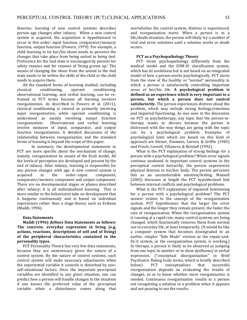theories; learning of new control systems describes person age changes after infancy. When a new control system is acquired, the acquisition is hypothesized to occur in this order: input function, comparator/memory function, output function (Powers, 1979). For example, a child learning to tie her/his shoes needs to perceive the changes that take place from being untied to being tied. Preference for the tied state is encouraged by parents for safety reasons and for reasons of 'being grown up.' The means of changing the shoes from the untied to the tied state needs to be within the skills of the child or the child needs to acquire them.

All the standard forms of learning studied, including classical conditioning, operant conditioning, observational learning, and verbal learning, can be reframed in PCT terms because all learning involves reorganization. As described in Powers et al. (2011), classical conditioning is viewed as primarily involving input reorganization, while operant conditioning is understood as mainly involving output function reorganization. Observational and verbal learning involve mixtures of input, comparator, and output function reorganization. A detailed discussion of the relationship between reorganization and the standard forms of learning is beyond the scope of this paper.

In summary, the developmental statements in PCT are more specific about the mechanism of change, namely, reorganization by means of the Ecoli model. All the levels of perception are developed and present by the end of infancy. After infancy, learning is responsible for any person changes with age. A new control system is acquired in the order--input component, comparator/memory component and output component. There are no developmental stages or phases described after infancy; it is all individualized learning. This is more similar to the behaviorist take on development that it happens continuously and is based on individual experiences rather than a stage-theory such as Erikson (Maddi, 1996).

### **Data Statements**

**Maddi (1996) defines Data Statements as follows:** The concrete, everyday expression in living (e.g, actions, reactions, descriptions of self and of living) of the peripheral characteristics contained in the **personality** types.

PCT Personality Theory has very few data statements, because they are unnecessary given the nature of a control system. By the nature of control systems, each control system will make necessary adjustments when the experiential variable it controls is disturbed by nonself-situational factors. Once the important perceptual variables are identified in any given situation, one can predict how a person will handle changes in the situation if one knows the preferred value of the perceptual variable when a disturbance comes along that

overwhelms the control system, distress is experienced, and reorganization starts. When a person is in a life/death situation, the person will likely try a number of trial and error solutions until a solution works or death occurs.

#### **PCT** as a Psychopathology Theory

PCT views psychopathology differently from the medical model and the DSM-IV classification system, which has its usefulness but is not based on an integrated model of how a person works psychologically. PCT starts from the view of the healthy or "normal" personality in which a person is satisfactorily controlling important areas of her/his life. A psychological problem is defined as an experience which is very important to a person, but which a person does not control satisfactorily. The person experiences distress about the problem, which may include strong feelings/emotions and impaired functioning. As was seen in the discussion on PCT as psychotherapy, any topic that the person-intherapy wants to discuss because the person is distressed with the way things are going with the topic can be a psychological problem. Examples of psychological tests which are based on this kind of approach are Diener, Emmons, Larsen, & Griffin (1985) and Frisch, Cornell, Villaneva, & Retzlaff (1992).

What is the PCT explanation of strong feelings for a person with a psychological problem? When error signals continue unabated in important control systems in the perceptual control hierarchy, the person experiences physical distress in his/her body. The person perceives this as an uncomfortable emotion/feeling. Mansell (2005) discusses at length the PCT hypothesized link between internal conflicts and psychological problems.

What is the PCT explanation of impaired functioning for a person with a psychological problem? The PCT answer relates to the concept of the reorganization system. PCT hypothesizes that the larger the error signals and the longer they remain present, the faster the rate of reorganization. When the reorganization system is running at a rapid rate, many control systems are being changed, which functionally removes them from normal use in everyday life, at least temporarily. (It would be like a computer system that becomes downgraded to an earlier, simpler "Safe Mode" version as the repair-andfix-it system, or the reorganization system, is working.) In therapy, a person is likely to be observed as jumping from one topic to another or to show dysfluency in verbal expression. ("conceptual disorganization" in Brief Psychiatric Rating Scale terms, which is briefly described below). PCT conceptualizes that successful reorganization depends on evaluating the results of changes, so as to know whether more reorganization is needed. Continuous reorganization results in a person not recognizing a solution to a problem when it appears and not pausing to see the results.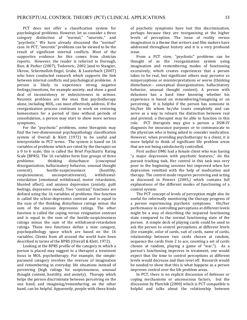PCT does not offer a classification system for psychological problems. However, let us consider a three category distinction of "normal," "neurotic," and "psychotic." We have already discussed the "normal" case. In PCT, "neurotic" problems can be viewed to be the result of significant internal conflicts. Most of the supportive evidence for this comes from clinician reports. However, the reader is referred to Dorough, Rice, & Parker (2007), Todorovic, 2002 )and to Stangier, Ukrow, Schermelleh-Engel, Grabe, & Lauterbach (2007) who have conducted research which supports the link between internal conflicts and psychological problems. A person is likely to experience strong negative feelings/emotions, for example anxiety, and show a good deal of inconsistency or indecisiveness in actions. Neurotic problems are the ones that psychotherapy alone, including MOL, can most effectively address. If the reorganization process continues to work on restoring homeostasis for a period of time without periods of consolidation, a person may start to show more serious symptoms. 

For the "psychotic" problems, some therapists may find the two-dimensional psychopathology classification system of Overall & Klett (1972) to be useful and interpretable in PCT terms. The system is based on  $16$ variables of problems which are rated by the therapist on a 0 to 6 scale; this is called the Brief Psychiatric Rating Scale (BPRS). The 16 variables form four groups of three problems: thinking disturbance (conceptual disorganization, hallucinatory behavior, unusual thought content), hostile-suspiciousness (hostility, suspiciousness, uncooperativeness), withdrawalretardation (emotional withdrawal, motor retardation, blunted affect), and anxious depression (anxiety, guilt feelings, depressive mood). Two "contrast" functions are defined using the 16 variables of problems. One function is called the schizo-depression contrast and is equal to the sum of the thinking disturbance ratings minus the sum of the anxious depression ratings. The other function is called the coping versus resignation contrast and is equal to the sum of the hostile-suspiciousness ratings minus the sum of the withdrawal-retardation ratings. These two functions define a nine category, psychopathology space which are based on the 16 variables. Clients from all around the world have been described in terms of the BPRS (Overall & Klett, 1972).

Looking at the BPRS profile of the category in which a person is placed may suggest to a therapist a treatment focus in MOL psychotherapy. For example, the simpleparanoid category involves the overuse of imagination and remembering in everyday life situations instead of perceiving (high ratings for suspiciousness, unusual thought content, hostility, and anxiety). Therapy which helps the person discriminate between perceiving on the one hand, and imagining/remembering on the other hand, can be helpful. Apparently, people with these kinds of psychotic symptoms have lost this discrimination, perhaps because they are reorganizing at the higher levels of perception. The issue of reality versus imagination is a theme that writers and film makers have addressed throughout history and it is a very profound issue. 

From a PCT view, "psychotic" problems can be thought of as the reorganization system using imagination and remembering modes of functioning excessively, which creates experiences that a person takes to be real, but significant others may perceive as misperceptions or misinterpretations or worse (thinking disturbance-- conceptual disorganization, hallucinatory behavior, unusual thought content). A person with delusions has a hard time knowing whether his experience is based on remembering/imagining or on perceiving. It is helpful if the person has someone in his/her life whom he/she trusts completely and can serve as a way to relearn the distinction between real and pretend; a therapist may be able to function in this role. PCT therapists may give a person a DSM-IV diagnosis for insurance purposes or to communicate to the physician who is being asked to consider medication. However, when providing psychotherapy to a client, it is more helpful to think of significant life problem areas that are not being satisfactorily controlled.

First author DMG had a female client who was having "a major depression with psychotic features," do the pursuit tracking task. Her control in this task was very poor in the beginning sessions but improved when her depression remitted with the help of medication and therapy. The control mode requires perceiving and acting as discussed in Powers (2005,) which contains full explanations of the different modes of functioning of a control system.

The PCT concept of levels of perception might also be useful for informally monitoring the therapy progress of a person experiencing psychotic symptoms. His/her performance in controlling perceptions at different levels might be a way of describing the impaired functioning state compared to the normal functioning state of the person. A simple deck of playing cards could be used to ask the person to control perceptions at different levels (for example, color of cards, suit of cards, name of cards, relationship between two cards chosen at random, sequence the cards from 2 to ace, counting a set of cards chosen at random, playing a game of "war."). As a person's functioning improves in treatment, one would expect that the time to control perceptions at different levels would decrease and then level off. Research would be needed to show that this is what happens as a person improves control over the life problem areas.

In PCT, there is no explicit discussion of defenses or coping mechanisms or unconscious factors, but the discussion by Plutchik (2000) which is PCT compatible is helpful and talks about the relationship between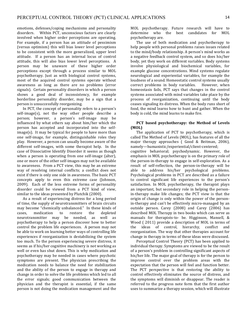emotions, defenses/coping mechanisms and personality disorders. Within PCT, unconscious factors are clearly involved when higher order perceptions are operating. For example, if a person has an attitude of pessimism (versus optimism) this will bias lower level perceptions to be consistent with the more generalized, upper level attitude. If a person has an internal locus of control attitude, this will also bias lower level perceptions. A person may be unaware of these higher order perceptions except through a process similar to MOL psychotherapy. Just as with biological control systems, most of the acquired control systems operate without awareness as long as there are no problems (error signals). Certain personality disorders in which a person shows a good deal of inconsistency, for example borderline personality disorder, may be a sign that a person is unsuccessfully reorganizing.

In PCT, the concept of personality refers to a person's self-image(s), not the way other people describe a person; however, a person's self-image may be influenced by what others say about him/her which the person has accepted and incorporated into the self $image(s)$ . It may be typical for people to have more than one self-image, for example, distinguishable roles they play. However, a person can usually become aware of the different self-images, with some therapist help. In the case of Dissociative Identify Disorder it seems as though when a person is operating from one self-image (alter), one or more of the other self-images may not be available to awareness. From a PCT view, this may be an extreme way of resolving internal conflicts; a conflict does not exist if there is only one side in awareness. The basic PCT concepts apply to even this extreme case (Johnson, 2009). Each of the less extreme forms of personality disorder could be viewed from a PCT kind of view, similar to the ideas presented by Plutchik (2000).

As a result of experiencing distress for a long period of time, the supply of neurotransmitters of brain circuits may become "chemically unbalanced." In these kinds of cases, medication to restore the depleted neurotransmitter may be needed, as well as psychotherapy to help a person discover how to better control the problem life experiences. A person may not be able to work on learning better ways of controlling life experiences if reorganization is destabilizing the system too much. To the person experiencing severe distress, it seems as if his/her cognitive machinery is not working as well or even has shut down. This is why medication and psychotherapy may be needed in cases where psychotic symptoms are present. The physician prescribing the medication needs to balance the need for stabilization and the ability of the person to engage in therapy and change in order to solve the life problems which led to all the error signals; good communication between the physician and the therapist is essential, if the same person is not doing the medication management and the

MOL psychotherapy. Future research will have to determine who the best candidates for MOL psychotherapy are.

The use of both medication and psychotherapy to help people with personal problems raises issues related to the mind/body relationship. A person's mind works as a negative feedback control system, and so does his/her body, yet they work on different variables. Body systems involve physiological and biochemical variables, for example glucose concentrations. Mind systems regulate neurological and experiential variables, for example the loudness of a sound. Homeostatic control systems usually correct problems in body variables. However, when homeostasis fails, PCT says that changes in the control systems associated with mind variables take place by the process of reorganization, continuing until the body ceases signaling its distress. When the body runs short of food, the mind learns how to hunt and gather. When the body is cold, the mind learns to make fire.

### **PCT** based psychotherapy: the Method of Levels **(MOL)**

The application of PCT to psychotherapy, which is called The Method of Levels (MOL), has features of all the major therapy approaches ( Good & Beitman, 2006), namely—humanistic/experiential/client-centered; 

cognitive behavioral; psychodynamic. However, the emphasis in MOL psychotherapy is on the primary role of the person-in-therapy to engage in self-exploration. As a result of self-reflection, the person-in-therapy will be able to address his/her psychological problems. Psychological problems in PCT are described as a failure to control significant life experiences to the person's satisfaction. In MOL psychotherapy, the therapist plays an important, but secondary role in helping the personin-therapy make life changes; the PCT view is that the origin of change is only within the power of the personin-therapy and can't be effectively micro-managed by an outside person. Carey (2008) and Carey (2006) has described MOL Therapy in two books which can serve as manuals for therapists-to- be. Higginson, Mansell, & Wood (2011) provide a description of MOL in terms of the ideas of control, hierarchy, conflict and reorganization. The way that other therapies account for change in therapy in terms of these ideas were discussed.

Perceptual Control Theory (PCT) has been applied to individual therapy. Symptoms are viewed to be the result of a person's problem in controlling significant aspects of his/her life. The major goal of therapy is for the person to improve control over the problem areas with the expectation that the person will feel and function better. The PCT perspective is that restoring the ability to control effectively eliminates the source of distress, and the symptoms will diminish or disappear. The reader is referred to the progress note form that the first author uses to summarize a therapy session, which will illustrate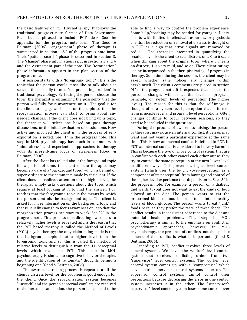the basic features of PCT Psychotherapy. It follows the traditional progress note format of Data-Assessment-Plan, but is phrased to include PCT ideas. See the appendix for the progress note form. The Good  $\&$ Beitman (2006) "engagement" phase of therapy is summarized in section  $1 \& 2$  of the progress note form. Their "pattern search" phase is described in section 3. The "change" phase information is put in sections 3 and 4 and the Assessment part of the note. The "termination" phase information appears in the plan section of the progress note.

A session starts with a "foreground topic." This is the topic that the person would most like to talk about at session time, usually termed "the presenting problem" in traditional psychology. By letting the person choose the topic, the therapist is optimizing the possibility that the person will fully focus awareness on it. The goal is for the client to engage and focus on the topic so that the reorganization process can start to bring about any needed changes. If the client does not bring up a topic, the therapist will select one based on past therapy discussions, or the initial evaluation of session one. How active and involved the client is in the process of selfexploration is noted. See "1" in the progress note. This step in MOL psychotherapy has much in common with "mindfulness" and experiential approaches to therapy with its present-time focus of awareness (Good & Beitman, 2006).

After the client has talked about the foreground topic for a period of time, the client or the therapist may become aware of a "background topic" which is behind or super-ordinate to the comments made by the client. If the client does not redirect attention to the higher level, the therapist simply asks questions about the topic which require at least looking at it to find the answer. PCT teaches that the foreground topic is the means by which the person controls the background topic. The client is asked for more information on the background topic and that is usually enough to focus awareness on it so that the reorganization process can start to work. See "2" in the progress note. This process of redirecting awareness to relatively higher levels is repeated and is the reason that the PCT based therapy is called the Method of Levels (MOL) psychotherapy; the only claim being made is that the background topic is at a higher level than the foreground topic and so, this is called the method of relative levels to distinguish it from the 11 perceptual levels which make up PCT. This step in MOL psychotherapy is similar to cognitive behavior therapies and the identification of "automatic" thoughts behind a beginning one (Good & Beitman, 2006).

The awareness- raising-process is repeated until the client's distress level for the problem is good enough for the client. Once the reorganization system becomes "unstuck" and the person's internal conflicts are resolved to the person's satisfaction, the person is expected to be able to find a way to control the problem experience. Some help/coaching may be needed for younger clients, clients with limited intellectual resources, or psychotic clients. The reduction or removal of distress is thought of in PCT as a sign that error signals are removed or reduced. The therapist interested in quantifying the results may ask the client to rate distress on a 0 to 6 scale when thinking about the original topic, where  $0$  means no distress, 1 is very mild, and so on. These client ratings can be incorporated in the therapist rating of progress in therapy. Sometime during the session, the client may be asked whether s/he notices any changes within her/himself. The client's comments are placed in section " $4$ " of the progress note. It is expected that most of the person's changes will be at the level of program, principle, or system levels of perception (the higher levels). The reason for this is that the self-image is thought of as a system level perception that is formed from principle level and program level perceptions. Often changes continue to occur between sessions, so they need to be included in the questions.

During the process of awareness-raising, the person or therapist may notice an internal conflict. A person may want and not want a particular experience at the same time. This is how an internal conflict is defined in PCT. In PCT, an internal conflict is considered to be very harmful. This is because the two or more control systems that are in conflict with each other cancel each other out as they try to control the same perception at the next lower level in different ways. This prevents a higher level control system (which uses the fought -over-perception as a component of its perception) from having good control of the higher level experience that depends on it. See "5" in the progress note. For example, a person on a diabetic diet wants to/but does not want to eat the kinds of food allowed on the diet. The person wants to eat the prescribed kinds of food in order to maintain healthy levels of blood glucose. The person wants to eat "junk" foods because they prefer the taste of these foods. The conflict results in inconsistent adherence to the diet and potential health problems. This step in MOL psychotherapy is similar to the emphasis on conflict in psychodynamic approaches; however, in MOL psychotherapy, the presence of conflicts, not the specific content of the conflict is what is important  $(Good &$ Beitman, 2006).

According to PCT, conflict involves three levels of control systems. We have "the worker" level control system that receives conflicting orders from two "supervisor" level control systems. The worker level control system comes up with a "compromise" which leaves both supervisor control systems in error. The supervisor control systems cannot control their perceptions because decreasing the error in one control system increases it in the other. The "supervisor's supervisor" level control system loses some control over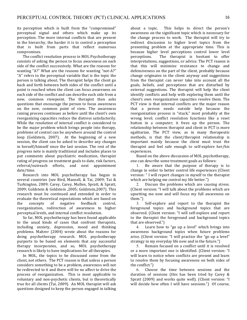its perception which is built from the "compromised" perceptual signal and others which make up its perception. The more internal conflicts that are present in the hierarchy, the harder it is to control a perception that is built from parts that reflect numerous compromises. 

The conflict resolution process in MOL Psychotherapy consists of asking the person to focus awareness on each side of the conflict successively. What are the reasons for wanting "A?" What are the reasons for wanting "not-A?" "A" refers to the perceptual variable that is the topic the person is talking about. The therapist helps the client go back and forth between both sides of the conflict until a point is reached when the client can focus awareness on each side of the conflict and can describe each side from a new, common viewpoint. The therapist then asks questions that encourage the person to focus awareness on the new, common point of view. The awareness raising process continues as before until the client's own reorganizing capacities reduce the distress satisfactorily. While the resolution of internal conflict is considered to be the major problem which brings people into therapy, problems of control can be anywhere around the control loop (Goldstein, 2007). At the beginning of a new session, the client can be asked to describe any changes in herself/himself since the last session. The rest of the progress note is mainly traditional and includes places to put comments about psychiatric medication, therapist rating of progress on treatment goals to date, risk factors, referral/outreach efforts, and next appointment date/time. 

Research into MOL psychotherapy has begun in several countries (see Bird, Mansell, & Tai, 2009; Tai & Turkington, 2009; Carey, Carey, Mullen, Spratt, & Spratt, 2009; Goldstein & Goldstein ,2005; Goldstein,2007). This research must be continued and extended in order to evaluate the theoretical expectations which are based on the concepts of negative feedback control, reorganization, redirection of awareness to higher perceptual levels, and internal conflict resolution.

So far, MOL psychotherapy has been found applicable to the usual kinds of cases that confront therapists, including anxiety, depression, mood and thinking problems. Mahrer (2004) wrote about the reasons for doing psychotherapy research. MOL psychotherapy purports to be based on elements that any successful therapy incorporates, and so, MOL psychotherapy research is likely to have implications for all therapies.

In MOL, the topics to be discussed come from the client, not others. The PCT reason is that unless a person considers something to be a problem, awareness will not be redirected to it and there will be no affect to drive the process of reorganization. This is most applicable to voluntary and non-psychotic clients, but is theoretically true for all clients (Tai, 2009). An MOL therapist will ask questions designed to keep the person engaged in talking

about a topic. This helps to direct the person's awareness on the significant topic which is necessary for the change process to work. The therapist will try to redirect discussion to higher level topics from the presenting problem at the appropriate time. This is because higher level perceptions control lower level perceptions. The therapist is hesitant to offer interpretations, suggestions, or advice. The PCT reason is that this will minimize resistance to change and defensiveness on the part of the client, probably because change originates in the client anyway and suggestions from the therapist can never take into account all the goals, beliefs, and perceptions that are disturbed by external suggestions. The therapist will help the client identify conflicts and help with exploring them until the client's own reorganization capacities resolve them. The PCT view is that internal conflicts are the major reason that a person needs outside help because the reorganization process is "stuck," most probably at the wrong level; conflict resolution functions like a reset button in a computer; it frees up the person. The relationship between therapist and client in PCT is more egalitarian. The PCT view, as in many therapeutic methods, is that the client/therapist relationship is important mainly because the client must trust the therapist and feel safe enough to self-explore her/his experiences. 

Based on the above discussion of MOL psychotherapy, one can describe some treatment goals as follows:

1. Be aware that the purpose of therapy is to change in order to better control life experiences (Client version: " I will report changes in myself to the therapist which are helping me control my life better.")

2. Discuss the problems which are causing stress. (Client version: "I will talk about the problems which are upsetting me now and will focus my full awareness on them.")

3. Self-explore and report to the therapist the foreground topics and background topics that are observed. (Client version: "I will self-explore and report to the therapist the foreground and background topics that are observed.")

4. Learn how to "go up a level" which brings into awareness background topics when future problems arise. (Client version: "I will practice the "go up a level" strategy in my everyday life now and in the future.")

5. Remain focused on a conflict until it is resolved or a more important one is identified. (Client version: "I will learn to notice when conflicts are present and learn to resolve them by focusing awareness on both sides of the conflict.")

6. Choose the time between sessions and the duration of sessions (this has been tried by Carey  $\&$ Spratt (2009) and works quite well). (Client version: "I will decide how often I will have sessions.") Of course,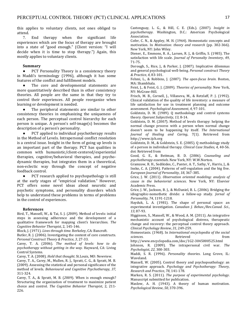this applies to voluntary clients, not ones obliged to attend.

7. End therapy when the significant life experiences which are the focus of therapy are brought into a state of "good enough." (Client version: "I will decide when it is time to stop therapy.") Again, this mostly applies to voluntary clients.

#### **Summary**

• PCT Personality Theory is a consistency theory in Maddi's terminology (1996), although it has some features of the conflict and fulfillment models.

The core and developmental statements are more quantitatively described than in other consistency theories. All people are the same in that they try to control their experiences. All people reorganize when learning or development is needed.

The peripheral statements are similar to other consistency theories in emphasizing the uniqueness of each person. The perceptual control hierarchy for each person is unique. A person's self-image(s) becomes the description of a person's personality.

PCT applied to individual psychotherapy results in the Method of Levels. Intrapersonal conflict resolution is a central issue. Insight in the form of going up levels is an important part of the therapy. PCT has qualities in common with humanistic/client-centered/experiential therapies, cognitive/behavioral therapies, and psychodynamic therapies, but integrates them in a theoretical, non-eclectic way through the concept of negative feedback control.

• PCT research applied to psychopathology is still at the early stages of "empirical validation." However, PCT offers some novel ideas about neurotic and psychotic symptoms, and personality disorders which help to understand these problems in terms of problems in the control of experiences.

#### **References**

Bird, T., Mansell, W., & Tai, S. J. (2009). Method of levels: initial steps in assessing adherence and the development of a qualitative framework for mapping client's hierarchies. The *Cognitive Behavior Therapist*, 2, 145-146.

Block, J. (1971). *Lives through time*. Berkeley, CA: Bancroft.

Butler, R. J. (2006). Investigating the content of core constructs. *Personal Construct Theory & Practice*, *3*, 27-33.

Carey, T. A. (2006). The method of levels: how to do psychotherapy without getting in the way. Hayward, CA: Living Control Systems.

Carey, T. A. (2008). *Hold that thought*. St.Louis, MO: Newview.

Carey, T. A., Carey, M., Mullen, R. J., Spratt, C. G., & Spratt, M. B. (2009). Assessing the statistical and personal significance of the method of levels. *Behavioural and Cognitive Psychotherapy*, *37*, 311-324.

Carey, T. A., & Spratt, M. B. (2009). When is enough enough? Structuring the organization of treatment to maximize patient choice and control. The Cognitive Behavior Therapist, 2, 211-226.

Castonguay, L. G., & Hill, C. E. (Eds.). (2007). *Insight in psychotherapy*. Washington, D.C.: American Psychological Association.

Cofer, C. N., & Appley, M. H. (1964). Homeostatic concepts and motivation. In *Motivation: theory and research* (pp. 302-366). New York, NY: John Wiley.

Diener, E., Emmons, R. A., Larsen, R. J., & Griffin, S. (1985). The satisfaction with life scale. *Journal of Personalty Inventory*, 49, 71-75.

Dorough, S., Rice, J., & Parker, J. (2007). Implicative dilemmas and general psychological well-being. *Personal construct Theory & Practice*, *4*, 83-101.

Fehmi, L., & Robbins, J. (2007). *The open-focus brain*. Boston, MA: Shambhala.

Feist, J., & Feist, G. J. (2009). Theories of personality. New York, NY: McGraw-Hill.

Frisch, M. B., Cornell, J., Villaneva, M., & Retzlaff, P. J. (1992). Clinical validation of the quality of life inventory: a measure of life satisfaction for use in treatment planning and outcome assessment. *Psychological Assessment*, *4*, 97-101.

Goldstein, D. M. (1989). O methodology and control systems theory. Operant Subjectivity, 13, 8-14.

Goldstein, D. M. (2007). Method of levels therapy: helping the normal change process with a person when normal change doesn't seem to be happening by itself. The International *Journal of Healing and Caring*, 7(1). Retrieved from http://www.ijch.org

Goldstein, D. M., & Goldstein, S. E. (2005). O methodology study of a person in individual therapy. *Clinical Case Studies*, 4, 40-56. doi: Retrieved from

Good, G. E., & Beitman, B. D. (2006). *Counseling and psychotherapy essentials*. New York, NY: W.W.Norton.

Gramzow, R. H., Sedikides, C., Panter, A. T., Sathy, V., Harris, J., & Insko, C. A. (2004). Patterns of self-regulation and the big five. *European Journal of Personality*, *18*, 367-385.

Grice, J. W. (2011). *Observation oriented modeling: analysis of cause in the behaviorial sciences*. New York, NY: Elsevier Academic Press.

Grice, J. W., Jackson, B. J., & McDaniel, B. L. (2006). Bridging the idiographic-nomothetic divide: a follow-up study. *Jornal of Personality*, *74*, 1191-1218.

Hayduk, L. A. (1981). The shape of personal space: an experimental investigation. *Canadian J. Behav./Rev.Canad. Sci.*, *13*, 87-93.

Higginson, S., Mansell, W., & Wood, A. M. (2011). An integrative mechanistic account of psychological distress, therapeutic change and recovery: the perceptual control theory approach. *Clinical Psychology Review*, *31*, 249-259.

Homeostasis. (1968). In *International encyclopedia of the social sciences*. The Retrieved **Retrieved** from

http://www.encyclopedia.com/doc/1G2-3045000525.html Johnson, R. (2009). The intrapersonal civil war. The *Psychologist*, *22*, 300-303.

Maddi, S. R. (1996). *Personality theories*. Long Grove, IL: Waveland.

Mansell, W. (2005). Control theory and psychopoathology: an integrative approach. *Psychology and Psychotherapy: Theory*, *Research and Practice*, *78*, 141-178.

Marken, R. S. (2011). *The purpose of experimental psychology*. Manuscript submitted for publication.

Maslow, A. H. (1943). A theory of human motivation. *Psychological Review*, *50*, 370-396.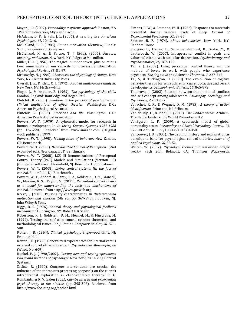Maver, J. D. (2007). *Personality: a systems approach*. Boston, MA : Pearson Education/Allyn and Bacon.

McAdams, D. P., & Pals, J. L. (2006). A new big five. American *Psychologist*, *61*, 204-216.

McClelland, D. C. (1985). *Human motivation*. Glenview, Illinois: Scott, Foresman and Company.

McClelland, K. A., & Fararo, T. J. (Eds.). (2006). *Purpose, meaning, and action*. New York, NY: Palgrave Macmillan.

Miller, G. A. (1956). The magical number seven, plus or minus two: some limits on our capacity for processing information. *Psychological Review*, *63*, 81-97.

Mrosovsky, N. (1990). *Rheostasis: the physiology of change*. New York, NY: Oxford University Press.

Overall, J. E., & Klett, C. J. (1972). Applied multivariate analysis. New York, NY: McGraw-Hill.

Piaget, J., & Inhelder, B. (1969). *The psychology of the child*. London, England: Routledge and Kegan Paul.

Plutchik, R. (2000). *Emotions in the practice of psychotherapy: clinical implications of affect theories*. Washington, D.C.: American Psychological Association.

Plutchik, R. (2003). *Emotions and life*. Washington, D.C.: American Psychological Association.

Powers, W. T. (1979). A cybernetic model for research in human development. In *In Living Control Systems 1957-1988* (pp. 167-220). Retrieved from www.amazon.com (Original work published 1979)

Powers, W. T. (1998). *Making sense of behavior*. New Canaan, CT: Benchmark.

Powers, W. T. (2005). *Behavior: The Control of Perception.* (2nd expanded ed.). New Canaan CT: Benchmark.

Powers, W. T. (2008). LCS III Demonstrations of Perceptual Control Theory (PCT) Models and Simulations (Version 1.0) [Computer software]. Bloomfield, NJ: Benchmark Publications.

Powers, W. T. (2008). *Living control systems III: the fact of control.* Bloomfield, NJ: Benchmark.

Powers, W. T., Abbott, B., Carey, T. A., Goldstein, D. M., Mansell, W., Marken, R. S.,...Taylor, M. (2011). *Perceptual control theory as a model for understanding the facts and machanisms of control*. Retrieved from http://www.pctweb.org

Reeve, J. (2009). Personality characteristics. In *Understanding motivation and emotion* (5th ed., pp. 367-390). Hoboken, NJ: John Wiley & Sons.

Riggs, D. S. (1976). *Control theory and physiological feedback mechanisms*. Huntington, NY: Robert E Krieger.

Robertson, R. J., Goldstein, D. M., Mermel, M., & Musgrave, M. (1999). Testing the self as a control system: theoretical and methodological issues. *Int. J. Human-Computer Studies*, 50, 571-580.

Rotter, J. B. (1964). *Clinical psychology*. Englewood Cliffs, NJ: Prentice-Hall.

Rotter, J. B. (1966). Generalized expectancies for internal versus external control of reinforcement. *Psychologcial Mongraphs*, 80 (Whole No. 609).

Runkel, P. J. (1990/2007). *Casting nets and testing specimens:* two grand methods of psychology. New York, NY: Living Control Systems.

Sachse, R. (1990). Concrete interventions are crucial: the influence of the therapist's processing proposals on the client's intrapersonal exploration in client-centered therapy. In G. Rombauts, & R. V. Balen (Eds.), *Client-centered and experiential psychotherapy* in the nineties (pp. 295-308). Retrieved from http://www.focusing.org/sachse.html

Simons, C. W., & Emmons, W. H. (1956). Responses to materials presented during various levels of sleep. *Journal of Experimental Psychology*, *51*, 89-97.

Skinner, B. F. (1974). *About behaviorism*. New York, NY: Random House.

Stangier, U., Ukrow, U., Schermelleh-Engel, K., Grabe, M., & Lauterbach, W. (2007). Intrapersonal conflict in goals and values of clients with unipolar depression. *Psychotherapy and Psychosomatics*, *76*, 162-170.

Tai, S. J. (2009). Using perceptual control theory and the method of levels to work with people who experience psychosis. The Cognitive and Behavior Therapist, 2, 227-242.

Tai, S., & Turkington, D. (2009). The evololution of cogitive behavior therapy for schizophrenia: current practice and recent developments. *Schizophrenia Bulletin*, *15*, 865-873.

Todorovic, J. (2002). Relation between the emotional conflicts and self-concept among adolescents. *Philosophy, Sociology, and Psychology*, *2*, 691-697.

Vallacher, R. R., & Wegner, D. M. (1985). A theory of action *identification*. Princeton, NJ: Erlbaum.

Van de Rijt, H., & Plooij, F. (2010). *The wonder weeks*. Arnhem, The Netherlands: Kiddy World Promotions B.V.

VanEgeren, L. F. (2009). A cybernetic model of global personality traits. *Personality and Social Psychology Review*, *13*, 92-108. doi: 10.1177/1088868309334860

Vancouver, J. B. (2005). The depth of history and explanation as benefit and bane for psychological control theories. *Journal of Applied Psychology*, *90*, 38-52.

Weiten, W. (2007). *Psychology themes and variations briefer* version (8th ed.). Belmont, CA: Thomson Wadsworth.